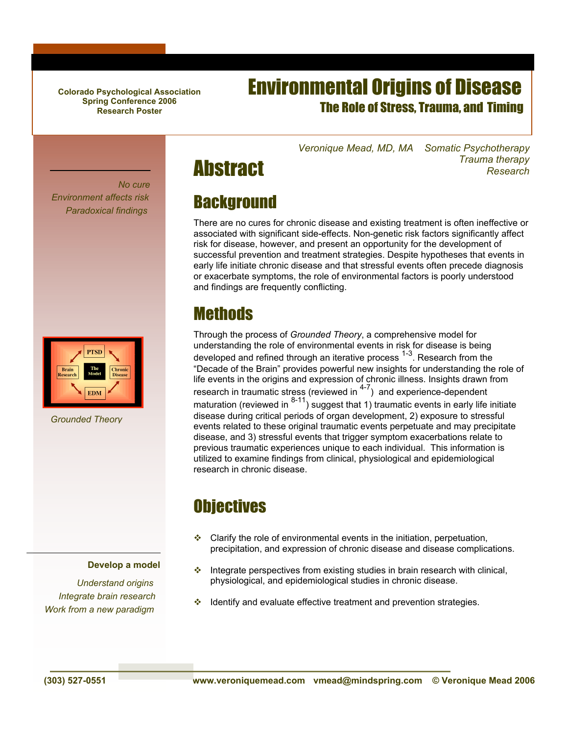**Colorado Psychological Association Spring Conference 2006 Research Poster**

### Environmental Origins of Disease The Role of Stress, Trauma, and Timing

*Veronique Mead, MD, MA Somatic Psychotherapy Trauma therapy Research*





*Grounded Theory*

#### **Develop a model**

*Understand origins Integrate brain research Work from a new paradigm*

# **Background**

**Abstract** 

There are no cures for chronic disease and existing treatment is often ineffective or associated with significant side-effects. Non-genetic risk factors significantly affect risk for disease, however, and present an opportunity for the development of successful prevention and treatment strategies. Despite hypotheses that events in early life initiate chronic disease and that stressful events often precede diagnosis or exacerbate symptoms, the role of environmental factors is poorly understood and findings are frequently conflicting.

#### **Methods**

Through the process of *Grounded Theory*, a comprehensive model for understanding the role of environmental events in risk for disease is being developed and refined through an iterative process 1-3. Research from the "Decade of the Brain" provides powerful new insights for understanding the role of life events in the origins and expression of chronic illness. Insights drawn from research in traumatic stress (reviewed in <sup>4-7</sup>) and experience-dependent maturation (reviewed in  $8-11$ ) suggest that 1) traumatic events in early life initiate disease during critical periods of organ development, 2) exposure to stressful events related to these original traumatic events perpetuate and may precipitate disease, and 3) stressful events that trigger symptom exacerbations relate to previous traumatic experiences unique to each individual. This information is utilized to examine findings from clinical, physiological and epidemiological research in chronic disease.

# **Objectives**

- $\cdot$  Clarify the role of environmental events in the initiation, perpetuation, precipitation, and expression of chronic disease and disease complications.
- $\cdot$  Integrate perspectives from existing studies in brain research with clinical, physiological, and epidemiological studies in chronic disease.
- $\cdot$  Identify and evaluate effective treatment and prevention strategies.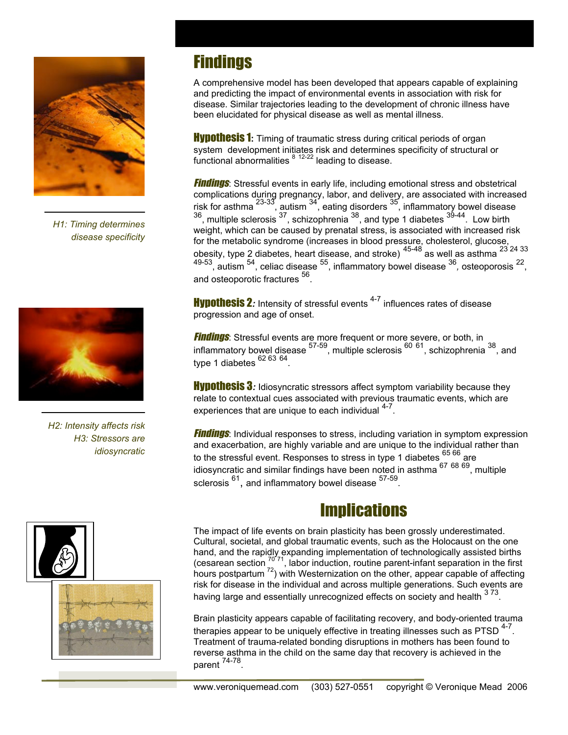

*H1: Timing determines disease specificity*



*H2: Intensity affects risk H3: Stressors are idiosyncratic*





## **Findings**

A comprehensive model has been developed that appears capable of explaining and predicting the impact of environmental events in association with risk for disease. Similar trajectories leading to the development of chronic illness have been elucidated for physical disease as well as mental illness.

**Hypothesis 1:** Timing of traumatic stress during critical periods of organ system development initiates risk and determines specificity of structural or functional abnormalities  $812-22$  leading to disease.

**Findings**: Stressful events in early life, including emotional stress and obstetrical complications during pregnancy, labor, and delivery, are associated with increased risk for asthma  $^{23-33}$ , autism  $^{34}$ , eating disorders  $^{35}$ , inflammatory bowel disease  $36$ , multiple sclerosis  $37$ , schizophrenia  $38$ , and type 1 diabetes  $39-44$ . Low birth weight, which can be caused by prenatal stress, is associated with increased risk for the metabolic syndrome (increases in blood pressure, cholesterol, glucose, obesity, type 2 diabetes, heart disease, and stroke)  $45-48$  as well as asthma  $^{23}$   $^{24}$   $^{33}$ 49-53, autism 54, celiac disease 55, inflammatory bowel disease 36*,* osteoporosis 22, and osteoporotic fractures <sup>56</sup>

**Hypothesis 2**: Intensity of stressful events <sup>4-7</sup> influences rates of disease progression and age of onset.

**Findings**: Stressful events are more frequent or more severe, or both, in inflammatory bowel disease  $57-59$ , multiple sclerosis  $^{60}$   $^{61}$ , schizophrenia  $^{38}$ , and type 1 diabetes  $62\,63\,64$ .

**Hypothesis 3**: Idiosyncratic stressors affect symptom variability because they relate to contextual cues associated with previous traumatic events, which are experiences that are unique to each individual  $4-7$ .

**Findings**: Individual responses to stress, including variation in symptom expression and exacerbation, are highly variable and are unique to the individual rather than to the stressful event. Responses to stress in type 1 diabetes <sup>65 66</sup> are idiosyncratic and similar findings have been noted in asthma 67 <sup>68</sup> 69, multiple sclerosis  $^{61}$ , and inflammatory bowel disease  $^{57-59}$ .

### **Implications**

The impact of life events on brain plasticity has been grossly underestimated. Cultural, societal, and global traumatic events, such as the Holocaust on the one hand, and the rapidly expanding implementation of technologically assisted births (cesarean section  $7071$ , labor induction, routine parent-infant separation in the first hours postpartum <sup>72</sup>) with Westernization on the other, appear capable of affecting risk for disease in the individual and across multiple generations. Such events are having large and essentially unrecognized effects on society and health  $373$ .

Brain plasticity appears capable of facilitating recovery, and body-oriented trauma therapies appear to be uniquely effective in treating illnesses such as  $PTSD$ <sup>4-7</sup>. Treatment of trauma-related bonding disruptions in mothers has been found to reverse asthma in the child on the same day that recovery is achieved in the parent 74-78.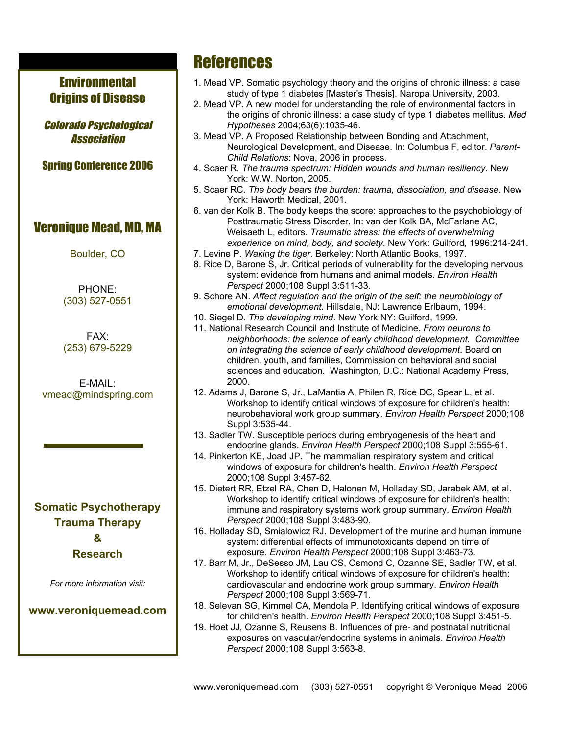#### **Environmental** Origins of Disease

Colorado Psychological Association

Spring Conference 2006

#### Veronique Mead, MD, MA

Boulder, CO

PHONE: (303) 527-0551

FAX: (253) 679-5229

E-MAIL: vmead@mindspring.com

#### **Somatic Psychotherapy Trauma Therapy & Research**

*For more information visit:*

**www.veroniquemead.com**

### **References**

- 1. Mead VP. Somatic psychology theory and the origins of chronic illness: a case study of type 1 diabetes [Master's Thesis]. Naropa University, 2003.
- 2. Mead VP. A new model for understanding the role of environmental factors in the origins of chronic illness: a case study of type 1 diabetes mellitus. *Med Hypotheses* 2004;63(6):1035-46.
- 3. Mead VP. A Proposed Relationship between Bonding and Attachment, Neurological Development, and Disease. In: Columbus F, editor. *Parent-Child Relations*: Nova, 2006 in process.
- 4. Scaer R. *The trauma spectrum: Hidden wounds and human resiliency*. New York: W.W. Norton, 2005.
- 5. Scaer RC. *The body bears the burden: trauma, dissociation, and disease*. New York: Haworth Medical, 2001.
- 6. van der Kolk B. The body keeps the score: approaches to the psychobiology of Posttraumatic Stress Disorder. In: van der Kolk BA, McFarlane AC, Weisaeth L, editors. *Traumatic stress: the effects of overwhelming experience on mind, body, and society*. New York: Guilford, 1996:214-241.
- 7. Levine P. *Waking the tiger*. Berkeley: North Atlantic Books, 1997.
- 8. Rice D, Barone S, Jr. Critical periods of vulnerability for the developing nervous system: evidence from humans and animal models. *Environ Health Perspect* 2000;108 Suppl 3:511-33.
- 9. Schore AN. *Affect regulation and the origin of the self: the neurobiology of emotional development*. Hillsdale, NJ: Lawrence Erlbaum, 1994.
- 10. Siegel D. *The developing mind*. New York:NY: Guilford, 1999.
- 11. National Research Council and Institute of Medicine. *From neurons to neighborhoods: the science of early childhood development. Committee on integrating the science of early childhood development*. Board on children, youth, and families, Commission on behavioral and social sciences and education. Washington, D.C.: National Academy Press, 2000.
- 12. Adams J, Barone S, Jr., LaMantia A, Philen R, Rice DC, Spear L, et al. Workshop to identify critical windows of exposure for children's health: neurobehavioral work group summary. *Environ Health Perspect* 2000;108 Suppl 3:535-44.
- 13. Sadler TW. Susceptible periods during embryogenesis of the heart and endocrine glands. *Environ Health Perspect* 2000;108 Suppl 3:555-61.
- 14. Pinkerton KE, Joad JP. The mammalian respiratory system and critical windows of exposure for children's health. *Environ Health Perspect* 2000;108 Suppl 3:457-62.
- 15. Dietert RR, Etzel RA, Chen D, Halonen M, Holladay SD, Jarabek AM, et al. Workshop to identify critical windows of exposure for children's health: immune and respiratory systems work group summary. *Environ Health Perspect* 2000;108 Suppl 3:483-90.
- 16. Holladay SD, Smialowicz RJ. Development of the murine and human immune system: differential effects of immunotoxicants depend on time of exposure. *Environ Health Perspect* 2000;108 Suppl 3:463-73.
- 17. Barr M, Jr., DeSesso JM, Lau CS, Osmond C, Ozanne SE, Sadler TW, et al. Workshop to identify critical windows of exposure for children's health: cardiovascular and endocrine work group summary. *Environ Health Perspect* 2000;108 Suppl 3:569-71.
- 18. Selevan SG, Kimmel CA, Mendola P. Identifying critical windows of exposure for children's health. *Environ Health Perspect* 2000;108 Suppl 3:451-5.
- 19. Hoet JJ, Ozanne S, Reusens B. Influences of pre- and postnatal nutritional exposures on vascular/endocrine systems in animals. *Environ Health Perspect* 2000;108 Suppl 3:563-8.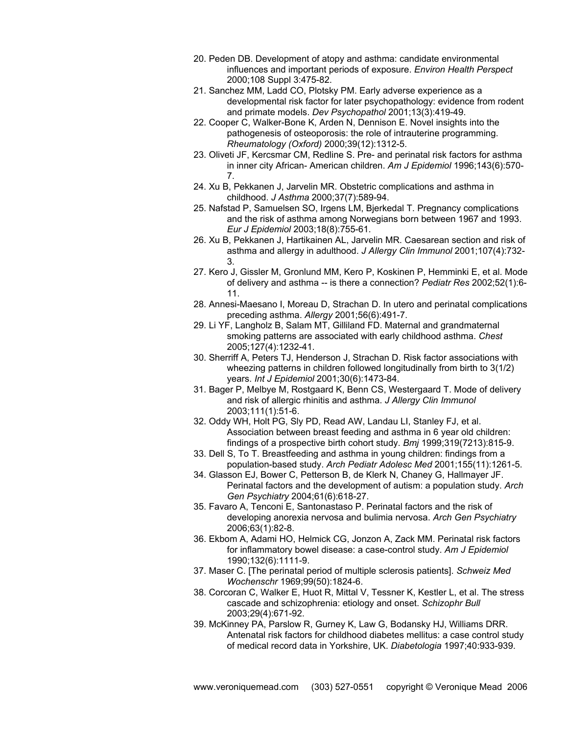- 20. Peden DB. Development of atopy and asthma: candidate environmental influences and important periods of exposure. *Environ Health Perspect* 2000;108 Suppl 3:475-82.
- 21. Sanchez MM, Ladd CO, Plotsky PM. Early adverse experience as a developmental risk factor for later psychopathology: evidence from rodent and primate models. *Dev Psychopathol* 2001;13(3):419-49.
- 22. Cooper C, Walker-Bone K, Arden N, Dennison E. Novel insights into the pathogenesis of osteoporosis: the role of intrauterine programming. *Rheumatology (Oxford)* 2000;39(12):1312-5.
- 23. Oliveti JF, Kercsmar CM, Redline S. Pre- and perinatal risk factors for asthma in inner city African- American children. *Am J Epidemiol* 1996;143(6):570- 7.
- 24. Xu B, Pekkanen J, Jarvelin MR. Obstetric complications and asthma in childhood. *J Asthma* 2000;37(7):589-94.
- 25. Nafstad P, Samuelsen SO, Irgens LM, Bjerkedal T. Pregnancy complications and the risk of asthma among Norwegians born between 1967 and 1993. *Eur J Epidemiol* 2003;18(8):755-61.
- 26. Xu B, Pekkanen J, Hartikainen AL, Jarvelin MR. Caesarean section and risk of asthma and allergy in adulthood. *J Allergy Clin Immunol* 2001;107(4):732- 3.
- 27. Kero J, Gissler M, Gronlund MM, Kero P, Koskinen P, Hemminki E, et al. Mode of delivery and asthma -- is there a connection? *Pediatr Res* 2002;52(1):6- 11.
- 28. Annesi-Maesano I, Moreau D, Strachan D. In utero and perinatal complications preceding asthma. *Allergy* 2001;56(6):491-7.
- 29. Li YF, Langholz B, Salam MT, Gilliland FD. Maternal and grandmaternal smoking patterns are associated with early childhood asthma. *Chest* 2005;127(4):1232-41.
- 30. Sherriff A, Peters TJ, Henderson J, Strachan D. Risk factor associations with wheezing patterns in children followed longitudinally from birth to 3(1/2) years. *Int J Epidemiol* 2001;30(6):1473-84.
- 31. Bager P, Melbye M, Rostgaard K, Benn CS, Westergaard T. Mode of delivery and risk of allergic rhinitis and asthma. *J Allergy Clin Immunol* 2003;111(1):51-6.
- 32. Oddy WH, Holt PG, Sly PD, Read AW, Landau LI, Stanley FJ, et al. Association between breast feeding and asthma in 6 year old children: findings of a prospective birth cohort study. *Bmj* 1999;319(7213):815-9.
- 33. Dell S, To T. Breastfeeding and asthma in young children: findings from a population-based study. *Arch Pediatr Adolesc Med* 2001;155(11):1261-5.
- 34. Glasson EJ, Bower C, Petterson B, de Klerk N, Chaney G, Hallmayer JF. Perinatal factors and the development of autism: a population study. *Arch Gen Psychiatry* 2004;61(6):618-27.
- 35. Favaro A, Tenconi E, Santonastaso P. Perinatal factors and the risk of developing anorexia nervosa and bulimia nervosa. *Arch Gen Psychiatry* 2006;63(1):82-8.
- 36. Ekbom A, Adami HO, Helmick CG, Jonzon A, Zack MM. Perinatal risk factors for inflammatory bowel disease: a case-control study. *Am J Epidemiol* 1990;132(6):1111-9.
- 37. Maser C. [The perinatal period of multiple sclerosis patients]. *Schweiz Med Wochenschr* 1969;99(50):1824-6.
- 38. Corcoran C, Walker E, Huot R, Mittal V, Tessner K, Kestler L, et al. The stress cascade and schizophrenia: etiology and onset. *Schizophr Bull* 2003;29(4):671-92.
- 39. McKinney PA, Parslow R, Gurney K, Law G, Bodansky HJ, Williams DRR. Antenatal risk factors for childhood diabetes mellitus: a case control study of medical record data in Yorkshire, UK. *Diabetologia* 1997;40:933-939.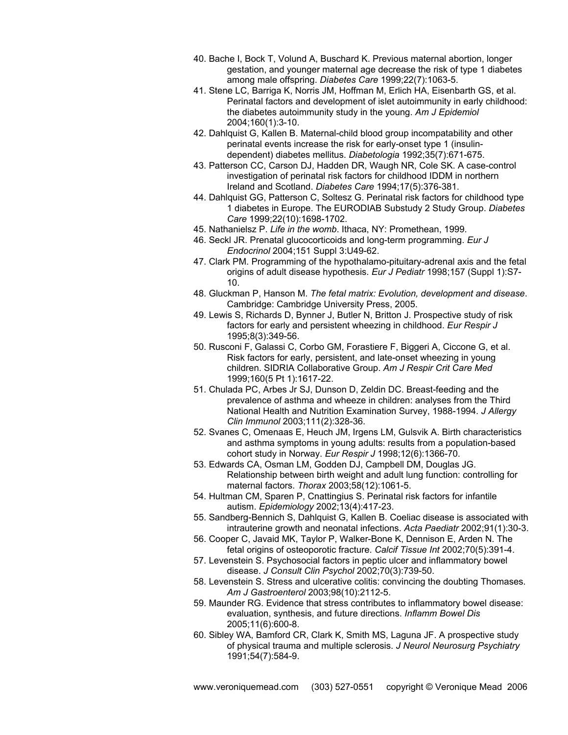- 40. Bache I, Bock T, Volund A, Buschard K. Previous maternal abortion, longer gestation, and younger maternal age decrease the risk of type 1 diabetes among male offspring. *Diabetes Care* 1999;22(7):1063-5.
- 41. Stene LC, Barriga K, Norris JM, Hoffman M, Erlich HA, Eisenbarth GS, et al. Perinatal factors and development of islet autoimmunity in early childhood: the diabetes autoimmunity study in the young. *Am J Epidemiol* 2004;160(1):3-10.
- 42. Dahlquist G, Kallen B. Maternal-child blood group incompatability and other perinatal events increase the risk for early-onset type 1 (insulindependent) diabetes mellitus. *Diabetologia* 1992;35(7):671-675.
- 43. Patterson CC, Carson DJ, Hadden DR, Waugh NR, Cole SK. A case-control investigation of perinatal risk factors for childhood IDDM in northern Ireland and Scotland. *Diabetes Care* 1994;17(5):376-381.
- 44. Dahlquist GG, Patterson C, Soltesz G. Perinatal risk factors for childhood type 1 diabetes in Europe. The EURODIAB Substudy 2 Study Group. *Diabetes Care* 1999;22(10):1698-1702.
- 45. Nathanielsz P. *Life in the womb*. Ithaca, NY: Promethean, 1999.
- 46. Seckl JR. Prenatal glucocorticoids and long-term programming. *Eur J Endocrinol* 2004;151 Suppl 3:U49-62.
- 47. Clark PM. Programming of the hypothalamo-pituitary-adrenal axis and the fetal origins of adult disease hypothesis. *Eur J Pediatr* 1998;157 (Suppl 1):S7- 10.
- 48. Gluckman P, Hanson M. *The fetal matrix: Evolution, development and disease*. Cambridge: Cambridge University Press, 2005.
- 49. Lewis S, Richards D, Bynner J, Butler N, Britton J. Prospective study of risk factors for early and persistent wheezing in childhood. *Eur Respir J* 1995;8(3):349-56.
- 50. Rusconi F, Galassi C, Corbo GM, Forastiere F, Biggeri A, Ciccone G, et al. Risk factors for early, persistent, and late-onset wheezing in young children. SIDRIA Collaborative Group. *Am J Respir Crit Care Med* 1999;160(5 Pt 1):1617-22.
- 51. Chulada PC, Arbes Jr SJ, Dunson D, Zeldin DC. Breast-feeding and the prevalence of asthma and wheeze in children: analyses from the Third National Health and Nutrition Examination Survey, 1988-1994. *J Allergy Clin Immunol* 2003;111(2):328-36.
- 52. Svanes C, Omenaas E, Heuch JM, Irgens LM, Gulsvik A. Birth characteristics and asthma symptoms in young adults: results from a population-based cohort study in Norway. *Eur Respir J* 1998;12(6):1366-70.
- 53. Edwards CA, Osman LM, Godden DJ, Campbell DM, Douglas JG. Relationship between birth weight and adult lung function: controlling for maternal factors. *Thorax* 2003;58(12):1061-5.
- 54. Hultman CM, Sparen P, Cnattingius S. Perinatal risk factors for infantile autism. *Epidemiology* 2002;13(4):417-23.
- 55. Sandberg-Bennich S, Dahlquist G, Kallen B. Coeliac disease is associated with intrauterine growth and neonatal infections. *Acta Paediatr* 2002;91(1):30-3.
- 56. Cooper C, Javaid MK, Taylor P, Walker-Bone K, Dennison E, Arden N. The fetal origins of osteoporotic fracture. *Calcif Tissue Int* 2002;70(5):391-4.
- 57. Levenstein S. Psychosocial factors in peptic ulcer and inflammatory bowel disease. *J Consult Clin Psychol* 2002;70(3):739-50.
- 58. Levenstein S. Stress and ulcerative colitis: convincing the doubting Thomases. *Am J Gastroenterol* 2003;98(10):2112-5.
- 59. Maunder RG. Evidence that stress contributes to inflammatory bowel disease: evaluation, synthesis, and future directions. *Inflamm Bowel Dis* 2005;11(6):600-8.
- 60. Sibley WA, Bamford CR, Clark K, Smith MS, Laguna JF. A prospective study of physical trauma and multiple sclerosis. *J Neurol Neurosurg Psychiatry* 1991;54(7):584-9.